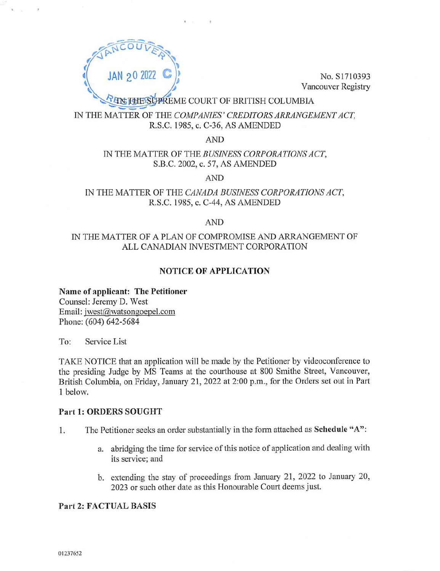

Vancouver Registry

## PREME COURT OF BRITISH COLUMBIA

## IN THE MATTER OF THE COMPANIES' CREDITORS ARRANGEMENT ACT, R.S.C. 1985, c. C-36, AS AMENDED

AND

## IN THE MATTER OF THE BUSINESS CORPORATIONS ACT, S.B.C. 2002, c. 57, AS AMENDED

AND

## IN THE MATTER OF THE CANADA BUSINESS CORPORATIONS ACT, R.S.C. 1985, c. C-44, AS AMENDED

### AND

## IN THE MATTER OF A PLAN OF COMPROMISE AND ARRANGEMENT OF ALL CANADIAN INVESTMENT CORPORATION

## NOTICE OF APPLICATION

### Name of applicant: The Petitioner

Counsel: Jeremy D. West Email: jwest@watsongoepel.com Phone: (604) 642-5684

To: Service List

TAKE NOTICE that an application will be made by the Petitioner by videoconference to the presiding Judge by MS Teams at the courthouse at 800 Smithe Street, Vancouver, British Columbia, on Friday, January 21, 2022 at 2:00 p.m., for the Orders set out in Part 1 below.

### Part 1: ORDERS SOUGHT

- 1. The Petitioner seeks an order substantially in the form attached as Schedule "A":
	- a. abridging the time for service of this notice of application and dealing with its service; and
	- b. extending the stay of proceedings from January 21, 2022 to January 20, 2023 or such other date as this Honourable Court deems just.

### Part 2: FACTUAL BASIS

01237652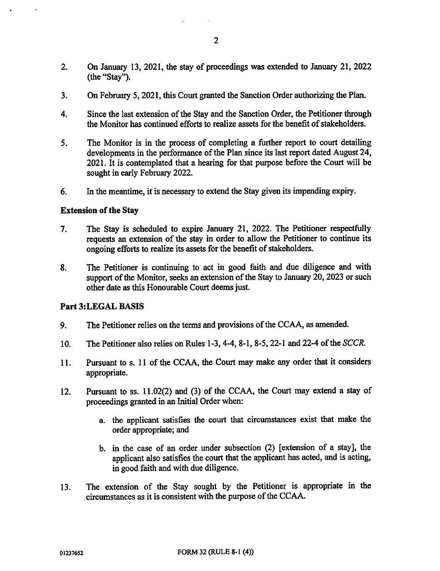- 2. On January 13, 2021, the stay of proceedings was extended to January 21, 2022 (the "Stay").
- 3. On February 5, 2021, this Court granted the Sanction Order authorizing the Plan.
- 4. Since the last extension of the Stay and the Sanction Order, the Petitioner through the Monitor has continued efforts to realize assets for the benefit of stakeholders.
- 5. The Monitor is in the process of completing a further report to court detailing developments in the performance of the Plan since its last report dated August 24, 2021. It is contemplated that a hearing for that purpose before the Court will be sought in early February 2022.
- 6. In the meantime, it is necessary to extend the Stay given its impending expiry.

### Extension of the Stay

- 7. The Stay is scheduled to expire January 21, 2022. The Petitioner respectfully requests an extension of the stay in order to allow the Petitioner to continue its ongoing efforts to realize its assets for the benefit of stakeholders.
- 8. The Petitioner is continuing to act in good faith and due diligence and with support of the Monitor, seeks an extension of the Stay to January 20, 2023 or such other date as this Honourable Court deems just.

### Part 3:LEGAL BASIS

- 9. The Petitioner relies on the terms and provisions of the CCAA, as amended.
- 10. The Petitioner also relies on Rules 1-3, 4-4, 8-1, 8-5, 22-1 and 22-4 of the SCCR.
- 11. Pursuant to s. 11 of the CCAA, the Court may make any order that it considers appropriate.
- 12. Pursuant to ss. 11.02(2) and (3) of the CCAA, the Court may extend a stay of proceedings granted in an Initial Order when:
	- a. the applicant satisfies the court that circumstances exist that make the order appropriate; and
	- b. in the case of an order under subsection (2) [extension of a stay], the applicant also satisfies the court that the applicant has acted, and is acting, in good faith and with due diligence.
- 13. The extension of the Stay sought by the Petitioner is appropriate in the circumstances as it is consistent with the purpose of the CCAA.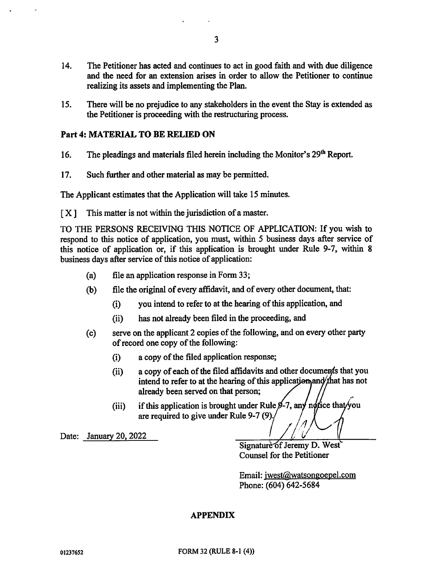- 14. The Petitioner has acted and continues to act in good faith and with due diligence and the need for an extension arises in order to allow the Petitioner to continue realizing its assets and implementing the Plan.
- 15. There will be no prejudice to any stakeholders in the event the Stay is extended as the Petitioner is proceeding with the restructuring process.

### Part 4: MATERIAL TO BE RELIED ON

- 16. The pleadings and materials filed herein including the Monitor's  $29<sup>th</sup>$  Report.
- 17. Such further and other material as may be permitted.

The Applicant estimates that the Application will take 15 minutes.

 $[X]$  This matter is not within the jurisdiction of a master.

TO THE PERSONS RECEIVING THIS NOTICE OF APPLICATION: If you wish to respond to this notice of application, you must, within 5 business days after service of this notice of application or, if this application is brought under Rule 9-7, within 8 business days after service of this notice of application:

- (a) file an application response in Form 33;
- (b) file the original of every affidavit, and of every other document, that:
	- (i) you intend to refer to at the hearing of this application, and
	- (ii) has not already been filed in the proceeding, and
- (c) serve on the applicant 2 copies of the following, and on every other party of record one copy of the following:
	- (1) a copy of the filed application response;
	- (ii) a copy of each of the filed affidavits and other documents that you intend to refer to at the hearing of this application and that has not already been served on that person;
	- (iii) if this application is brought under Rule  $\beta$ -7, any notational is detected. are required to give under Rule 9-7 (9).

Date: January 20, 2022

Signature of Jeremy D. West Counsel for the Petitioner

Email: jwest@watsongoepel.com Phone: (604) 642-5684

### APPENDIX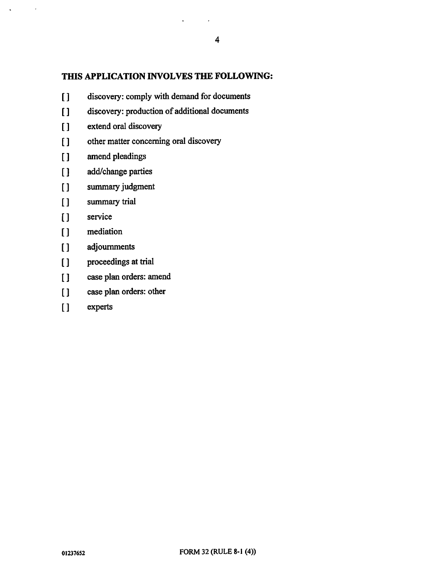## THIS APPLICATION INVOLVES THE FOLLOWING:

 $\ddot{\phantom{a}}$ 

- discovery: comply with demand for documents  $\overline{1}$
- discovery: production of additional documents  $\prod$
- extend oral discovery  $\overline{1}$
- other matter concerning oral discovery  $\overline{1}$
- $\prod$ amend pleadings
- add/change parties  $\prod$
- summary judgment  $\prod$
- $[1]$ summary trial
- $\overline{1}$ service

 $\alpha$ 

- $\overline{1}$ mediation
- adjournments  $\overline{1}$
- proceedings at trial  $\overline{1}$
- case plan orders: amend  $\mathbf{I}$
- case plan orders: other  $\prod$
- $\prod$ experts

 $\sim 100$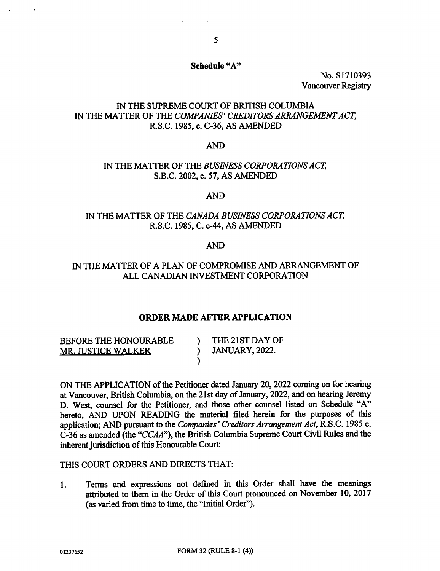### Schedule "A"

No. S1710393 Vancouver Registry

## IN THE SUPREME COURT OF BRITISH COLUMBIA IN THE MATTER OF THE COMPANIES' CREDITORS ARRANGEMENT ACT, R.S.C. 1985, c. C-36, AS AMENDED

### AND

### IN THE MATTER OF THE BUSINESS CORPORATIONS ACT, S.B.C. 2002, c. 57, AS AMENDED

### AND

## IN THE MATTER OF THE CANADA BUSINESS CORPORATIONS ACT, R.S.C. 1985, C. c-44, AS AMENDED

### AND

## IN THE MATTER OF A PLAN OF COMPROMISE AND ARRANGEMENT OF ALL CANADIAN INVESTMENT CORPORATION

### ORDER MADE AFTER APPLICATION

BEFORE THE HONOURABLE MR. JUSTICE WALKER )

) THE 21ST DAY OF ) JANUARY, 2022.

ON THE APPLICATION of the Petitioner dated January 20, 2022 coming on for hearing at Vancouver, British Columbia, on the 21st day of January, 2022, and on hearing Jeremy D. West, counsel for the Petitioner, and those other counsel listed on Schedule "A" hereto, AND UPON READING the material filed herein for the purposes of this application; AND pursuant to the Companies' Creditors Arrangement Act, R.S.C. 1985 c. C-36 as amended (the "CCAA"), the British Columbia Supreme Court Civil Rules and the inherent jurisdiction of this Honourable Court;

#### THIS COURT ORDERS AND DIRECTS THAT:

1. Terms and expressions not defined in this Order shall have the meanings attributed to them in the Order of this Court pronounced on November 10, 2017 (as varied from time to time, the "Initial Order").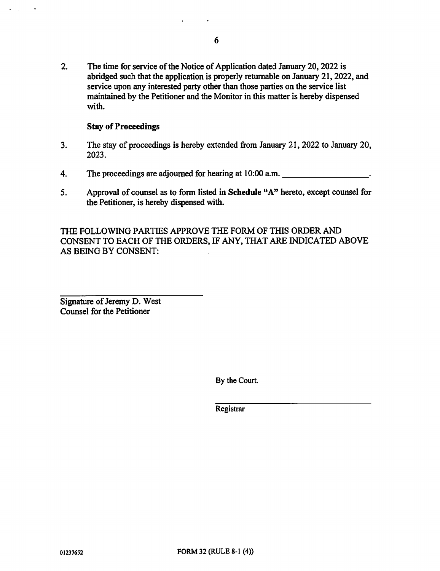2. The time for service of the Notice of Application dated January 20, 2022 is abridged such that the application is properly returnable on January 21, 2022, and service upon any interested party other than those parties on the service list maintained by the Petitioner and the Monitor in this matter is hereby dispensed with.

### Stay of Proceedings

 $\ddot{\phantom{a}}$ 

- 3. The stay of proceedings is hereby extended from January 21, 2022 to January 20, 2023.
- 4. The proceedings are adjourned for hearing at 10:00 a.m.
- 5. Approval of counsel as to form listed in Schedule "A" hereto, except counsel for the Petitioner, is hereby dispensed with.

THE FOLLOWING PARTIES APPROVE THE FORM OF THIS ORDER AND CONSENT TO EACH OF THE ORDERS, IF ANY, THAT ARE INDICATED ABOVE AS BEING BY CONSENT:

Signature of Jeremy D. West Counsel for the Petitioner

By the Court.

**Registrar**